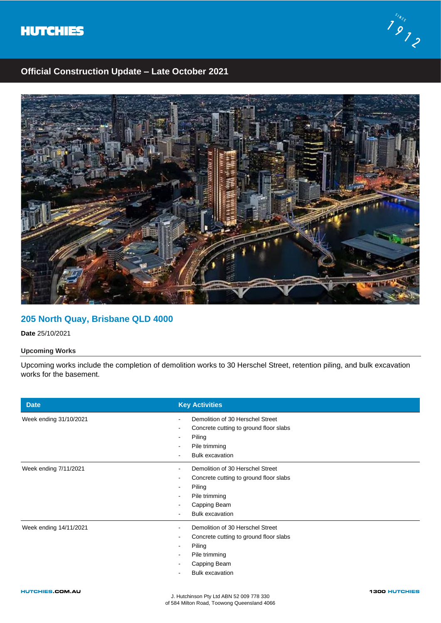



# **Official Construction Update – Late October 2021**



### **205 North Quay, Brisbane QLD 4000**

**Date** 25/10/2021

### **Upcoming Works**

Upcoming works include the completion of demolition works to 30 Herschel Street, retention piling, and bulk excavation works for the basement.

| <b>Date</b>            | <b>Key Activities</b>                                                                                                                                       |
|------------------------|-------------------------------------------------------------------------------------------------------------------------------------------------------------|
| Week ending 31/10/2021 | Demolition of 30 Herschel Street<br>Concrete cutting to ground floor slabs<br>Piling<br>$\overline{\phantom{a}}$<br>Pile trimming<br><b>Bulk excavation</b> |
| Week ending 7/11/2021  | Demolition of 30 Herschel Street<br>Concrete cutting to ground floor slabs<br>Piling<br>Pile trimming<br>Capping Beam<br><b>Bulk excavation</b>             |
| Week ending 14/11/2021 | Demolition of 30 Herschel Street<br>Concrete cutting to ground floor slabs<br>Piling<br>Pile trimming<br>Capping Beam<br><b>Bulk excavation</b>             |